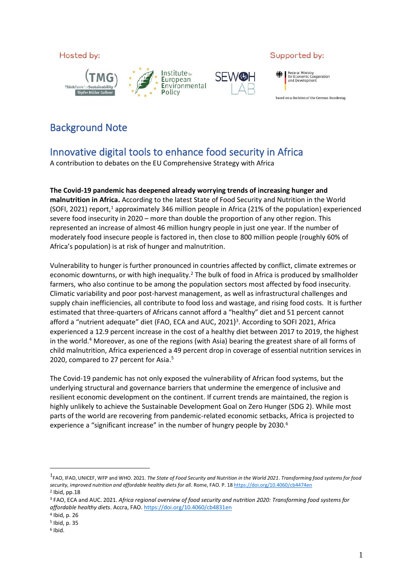Hosted by:





### Supported by:



based on a decision of the German Bundestag

## Background Note

# Innovative digital tools to enhance food security in Africa

A contribution to debates on the EU Comprehensive Strategy with Africa

**The Covid-19 pandemic has deepened already worrying trends of increasing hunger and malnutrition in Africa.** According to the latest State of Food Security and Nutrition in the World (SOFI, 2021) report,<sup>1</sup> approximately 346 million people in Africa (21% of the population) experienced severe food insecurity in 2020 – more than double the proportion of any other region. This represented an increase of almost 46 million hungry people in just one year. If the number of moderately food insecure people is factored in, then close to 800 million people (roughly 60% of Africa's population) is at risk of hunger and malnutrition.

Vulnerability to hunger is further pronounced in countries affected by conflict, climate extremes or economic downturns, or with high inequality.<sup>2</sup> The bulk of food in Africa is produced by smallholder farmers, who also continue to be among the population sectors most affected by food insecurity. Climatic variability and poor post-harvest management, as well as infrastructural challenges and supply chain inefficiencies, all contribute to food loss and wastage, and rising food costs. It is further estimated that three-quarters of Africans cannot afford a "healthy" diet and 51 percent cannot afford a "nutrient adequate" diet (FAO, ECA and AUC, 2021)<sup>3</sup>. According to SOFI 2021, Africa experienced a 12.9 percent increase in the cost of a healthy diet between 2017 to 2019, the highest in the world.<sup>4</sup> Moreover, as one of the regions (with Asia) bearing the greatest share of all forms of child malnutrition, Africa experienced a 49 percent drop in coverage of essential nutrition services in 2020, compared to 27 percent for Asia. 5

The Covid-19 pandemic has not only exposed the vulnerability of African food systems, but the underlying structural and governance barriers that undermine the emergence of inclusive and resilient economic development on the continent. If current trends are maintained, the region is highly unlikely to achieve the Sustainable Development Goal on Zero Hunger (SDG 2). While most parts of the world are recovering from pandemic-related economic setbacks, Africa is projected to experience a "significant increase" in the number of hungry people by 2030.<sup>6</sup>

<sup>1</sup> FAO, IFAD, UNICEF, WFP and WHO. 2021. *The State of Food Security and Nutrition in the World 2021*. *Transforming food systems for food security, improved nutrition and affordable healthy diets for all*. Rome, FAO. P. 1[8 https://doi.org/10.4060/cb4474en](https://doi.org/10.4060/cb4474en) 2 Ibid, pp.18

<sup>3</sup> FAO, ECA and AUC. 2021. *Africa regional overview of food security and nutrition 2020: Transforming food systems for affordable healthy diets*. Accra, FAO[. https://doi.org/10.4060/cb4831en](https://doi.org/10.4060/cb4831en)

<sup>4</sup> Ibid, p. 26

<sup>5</sup> Ibid, p. 35

<sup>6</sup> Ibid.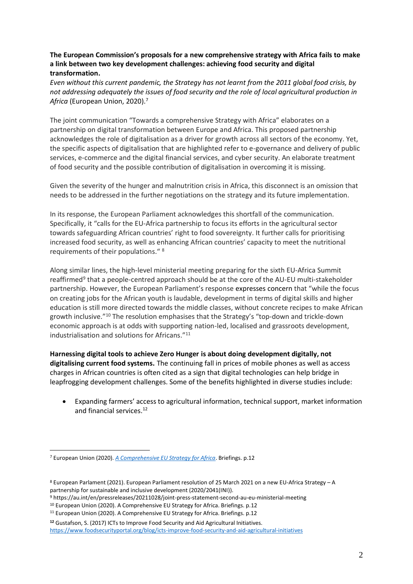### **The European Commission's proposals for a new comprehensive strategy with Africa fails to make a link between two key development challenges: achieving food security and digital transformation.**

*Even without this current pandemic, the Strategy has not learnt from the 2011 global food crisis, by not addressing adequately the issues of food security and the role of local agricultural production in Africa* (European Union, 2020). 7

The joint communication "Towards a comprehensive Strategy with Africa" elaborates on a partnership on digital transformation between Europe and Africa. This proposed partnership acknowledges the role of digitalisation as a driver for growth across all sectors of the economy. Yet, the specific aspects of digitalisation that are highlighted refer to e-governance and delivery of public services, e-commerce and the digital financial services, and cyber security. An elaborate treatment of food security and the possible contribution of digitalisation in overcoming it is missing.

Given the severity of the hunger and malnutrition crisis in Africa, this disconnect is an omission that needs to be addressed in the further negotiations on the strategy and its future implementation.

In its response, the European Parliament acknowledges this shortfall of the communication. Specifically, it "calls for the EU-Africa partnership to focus its efforts in the agricultural sector towards safeguarding African countries' right to food sovereignty. It further calls for prioritising increased food security, as well as enhancing African countries' capacity to meet the nutritional requirements of their populations."<sup>8</sup>

Along similar lines, the high-level ministerial meeting preparing for the sixth EU-Africa Summit reaffirmed<sup>9</sup> that a people-centred approach should be at the core of the AU-EU multi-stakeholder partnership. However, the European Parliament's response expresses concern that "while the focus on creating jobs for the African youth is laudable, development in terms of digital skills and higher education is still more directed towards the middle classes, without concrete recipes to make African growth inclusive." <sup>10</sup> The resolution emphasises that the Strategy's "top-down and trickle-down economic approach is at odds with supporting nation-led, localised and grassroots development, industrialisation and solutions for Africans." 11

**Harnessing digital tools to achieve Zero Hunger is about doing development digitally, not digitalising current food systems.** The continuing fall in prices of mobile phones as well as access charges in African countries is often cited as a sign that digital technologies can help bridge in leapfrogging development challenges. Some of the benefits highlighted in diverse studies include:

• Expanding farmers' access to agricultural information, technical support, market information and financial services. 12

<sup>7</sup> European Union (2020). *[A Comprehensive EU Strategy for Africa](https://www.europarl.europa.eu/thinktank/en/document.html?reference=EXPO_BRI(2020)603506)*. Briefings. p.12

<sup>8</sup> European Parlament (2021). European Parliament resolution of 25 March 2021 on a new EU-Africa Strategy – A partnership for sustainable and inclusive development (2020/2041(INI)).

<sup>9</sup> https://au.int/en/pressreleases/20211028/joint-press-statement-second-au-eu-ministerial-meeting

<sup>&</sup>lt;sup>10</sup> European Union (2020). A Comprehensive EU Strategy for Africa. Briefings. p.12

<sup>11</sup> European Union (2020). A Comprehensive EU Strategy for Africa. Briefings. p.12

**<sup>12</sup>** Gustafson, S. (2017) ICTs to Improve Food Security and Aid Agricultural Initiatives. <https://www.foodsecurityportal.org/blog/icts-improve-food-security-and-aid-agricultural-initiatives>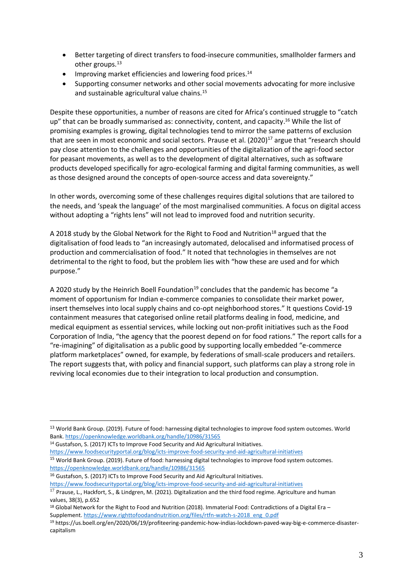- Better targeting of direct transfers to food-insecure communities, smallholder farmers and other groups. 13
- Improving market efficiencies and lowering food prices.<sup>14</sup>
- Supporting consumer networks and other social movements advocating for more inclusive and sustainable agricultural value chains. 15

Despite these opportunities, a number of reasons are cited for Africa's continued struggle to "catch up" that can be broadly summarised as: connectivity, content, and capacity.<sup>16</sup> While the list of promising examples is growing, digital technologies tend to mirror the same patterns of exclusion that are seen in most economic and social sectors. Prause et al. (2020)<sup>17</sup> argue that "research should pay close attention to the challenges and opportunities of the digitalization of the agri-food sector for peasant movements, as well as to the development of digital alternatives, such as software products developed specifically for agro-ecological farming and digital farming communities, as well as those designed around the concepts of open-source access and data sovereignty."

In other words, overcoming some of these challenges requires digital solutions that are tailored to the needs, and 'speak the language' of the most marginalised communities. A focus on digital access without adopting a "rights lens" will not lead to improved food and nutrition security.

A 2018 study by the Global Network for the Right to Food and Nutrition<sup>18</sup> argued that the digitalisation of food leads to "an increasingly automated, delocalised and informatised process of production and commercialisation of food." It noted that technologies in themselves are not detrimental to the right to food, but the problem lies with "how these are used and for which purpose."

A 2020 study by the Heinrich Boell Foundation<sup>19</sup> concludes that the pandemic has become "a moment of opportunism for Indian e-commerce companies to consolidate their market power, insert themselves into local supply chains and co-opt neighborhood stores." It questions Covid-19 containment measures that categorised online retail platforms dealing in food, medicine, and medical equipment as essential services, while locking out non-profit initiatives such as the Food Corporation of India, "the agency that the poorest depend on for food rations." The report calls for a "re-imagining" of digitalisation as a public good by supporting locally embedded "e-commerce platform marketplaces" owned, for example, by federations of small-scale producers and retailers. The report suggests that, with policy and financial support, such platforms can play a strong role in reviving local economies due to their integration to local production and consumption.

<https://www.foodsecurityportal.org/blog/icts-improve-food-security-and-aid-agricultural-initiatives>

<sup>15</sup> World Bank Group. (2019). Future of food: harnessing digital technologies to improve food system outcomes. <https://openknowledge.worldbank.org/handle/10986/31565>

<sup>16</sup> Gustafson, S. (2017) ICTs to Improve Food Security and Aid Agricultural Initiatives.

<https://www.foodsecurityportal.org/blog/icts-improve-food-security-and-aid-agricultural-initiatives>

<sup>&</sup>lt;sup>13</sup> World Bank Group. (2019). Future of food: harnessing digital technologies to improve food system outcomes. World Bank. <https://openknowledge.worldbank.org/handle/10986/31565>

<sup>&</sup>lt;sup>14</sup> Gustafson, S. (2017) ICTs to Improve Food Security and Aid Agricultural Initiatives.

<sup>&</sup>lt;sup>17</sup> Prause, L., Hackfort, S., & Lindgren, M. (2021). Digitalization and the third food regime. Agriculture and human values, 38(3), p.652

<sup>&</sup>lt;sup>18</sup> Global Network for the Right to Food and Nutrition (2018). Immaterial Food: Contradictions of a Digital Era – Supplement. [https://www.righttofoodandnutrition.org/files/rtfn-watch-s-2018\\_eng\\_0.pdf](https://www.righttofoodandnutrition.org/files/rtfn-watch-s-2018_eng_0.pdf)

<sup>19</sup> https://us.boell.org/en/2020/06/19/profiteering-pandemic-how-indias-lockdown-paved-way-big-e-commerce-disastercapitalism